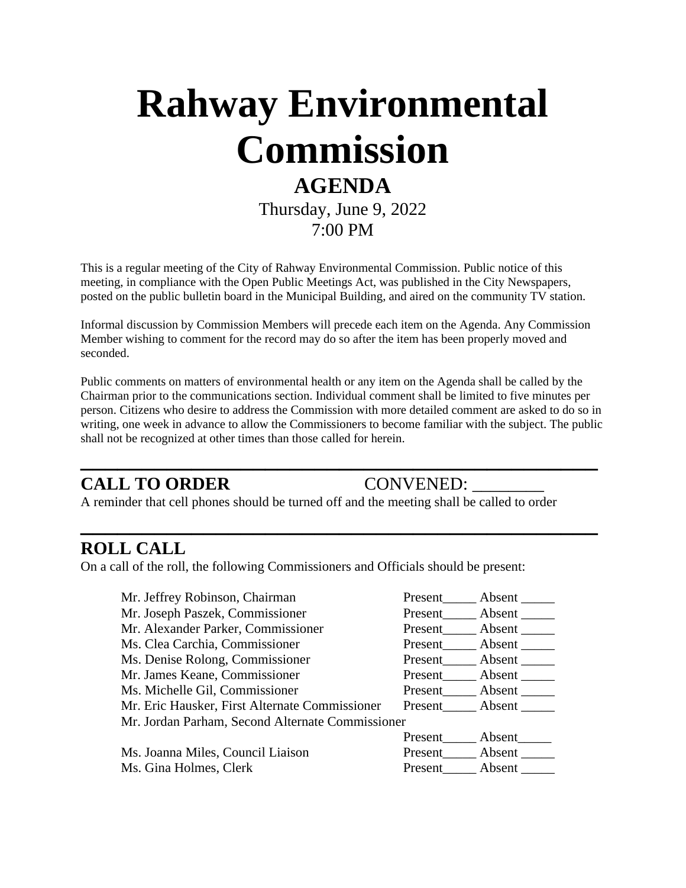# **Rahway Environmental Commission AGENDA**

Thursday, June 9, 2022 7:00 PM

This is a regular meeting of the City of Rahway Environmental Commission. Public notice of this meeting, in compliance with the Open Public Meetings Act, was published in the City Newspapers, posted on the public bulletin board in the Municipal Building, and aired on the community TV station.

Informal discussion by Commission Members will precede each item on the Agenda. Any Commission Member wishing to comment for the record may do so after the item has been properly moved and seconded.

Public comments on matters of environmental health or any item on the Agenda shall be called by the Chairman prior to the communications section. Individual comment shall be limited to five minutes per person. Citizens who desire to address the Commission with more detailed comment are asked to do so in writing, one week in advance to allow the Commissioners to become familiar with the subject. The public shall not be recognized at other times than those called for herein.

**\_\_\_\_\_\_\_\_\_\_\_\_\_\_\_\_\_\_\_\_\_\_\_\_\_\_\_\_\_\_\_\_\_\_\_\_\_\_\_\_\_\_**

**\_\_\_\_\_\_\_\_\_\_\_\_\_\_\_\_\_\_\_\_\_\_\_\_\_\_\_\_\_\_\_\_\_\_\_\_\_\_\_\_\_\_**

### **CALL TO ORDER CONVENED:**

A reminder that cell phones should be turned off and the meeting shall be called to order

#### **ROLL CALL**

On a call of the roll, the following Commissioners and Officials should be present:

| Mr. Jeffrey Robinson, Chairman                   | Present | Absent |
|--------------------------------------------------|---------|--------|
| Mr. Joseph Paszek, Commissioner                  | Present | Absent |
| Mr. Alexander Parker, Commissioner               | Present | Absent |
| Ms. Clea Carchia, Commissioner                   | Present | Absent |
| Ms. Denise Rolong, Commissioner                  | Present | Absent |
| Mr. James Keane, Commissioner                    | Present | Absent |
| Ms. Michelle Gil, Commissioner                   | Present | Absent |
| Mr. Eric Hausker, First Alternate Commissioner   | Present | Absent |
| Mr. Jordan Parham, Second Alternate Commissioner |         |        |
|                                                  | Present | Absent |
| Ms. Joanna Miles, Council Liaison                | Present | Absent |
| Ms. Gina Holmes, Clerk                           | Present | Absent |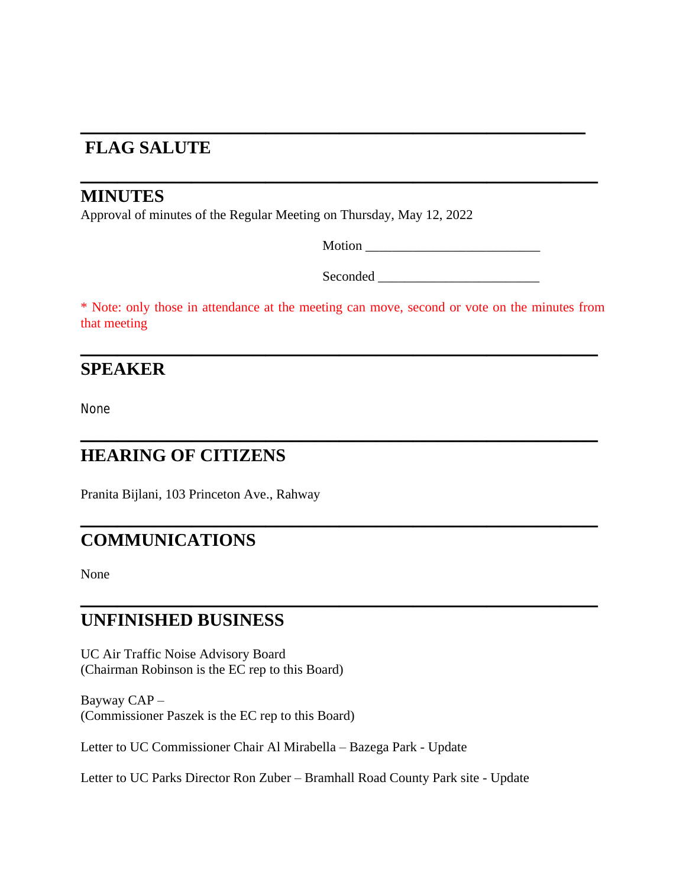# **\_\_\_\_\_\_\_\_\_\_\_\_\_\_\_\_\_\_\_\_\_\_\_\_\_\_\_\_\_\_\_\_\_\_\_\_\_\_\_\_\_ FLAG SALUTE**

#### **MINUTES**

Approval of minutes of the Regular Meeting on Thursday, May 12, 2022

Motion \_\_\_\_\_\_\_\_\_\_\_\_\_\_\_\_\_\_\_\_\_\_\_\_\_\_

Seconded \_\_\_\_\_\_\_\_\_\_\_\_\_\_\_\_\_\_\_\_\_\_\_\_

\* Note: only those in attendance at the meeting can move, second or vote on the minutes from that meeting

**\_\_\_\_\_\_\_\_\_\_\_\_\_\_\_\_\_\_\_\_\_\_\_\_\_\_\_\_\_\_\_\_\_\_\_\_\_\_\_\_\_\_**

**\_\_\_\_\_\_\_\_\_\_\_\_\_\_\_\_\_\_\_\_\_\_\_\_\_\_\_\_\_\_\_\_\_\_\_\_\_\_\_\_\_\_**

**\_\_\_\_\_\_\_\_\_\_\_\_\_\_\_\_\_\_\_\_\_\_\_\_\_\_\_\_\_\_\_\_\_\_\_\_\_\_\_\_\_\_**

**\_\_\_\_\_\_\_\_\_\_\_\_\_\_\_\_\_\_\_\_\_\_\_\_\_\_\_\_\_\_\_\_\_\_\_\_\_\_\_\_\_\_**

**\_\_\_\_\_\_\_\_\_\_\_\_\_\_\_\_\_\_\_\_\_\_\_\_\_\_\_\_\_\_\_\_\_\_\_\_\_\_\_\_\_\_**

#### **SPEAKER**

None

#### **HEARING OF CITIZENS**

Pranita Bijlani, 103 Princeton Ave., Rahway

## **COMMUNICATIONS**

None

#### **UNFINISHED BUSINESS**

UC Air Traffic Noise Advisory Board (Chairman Robinson is the EC rep to this Board)

Bayway CAP – (Commissioner Paszek is the EC rep to this Board)

Letter to UC Commissioner Chair Al Mirabella – Bazega Park - Update

Letter to UC Parks Director Ron Zuber – Bramhall Road County Park site - Update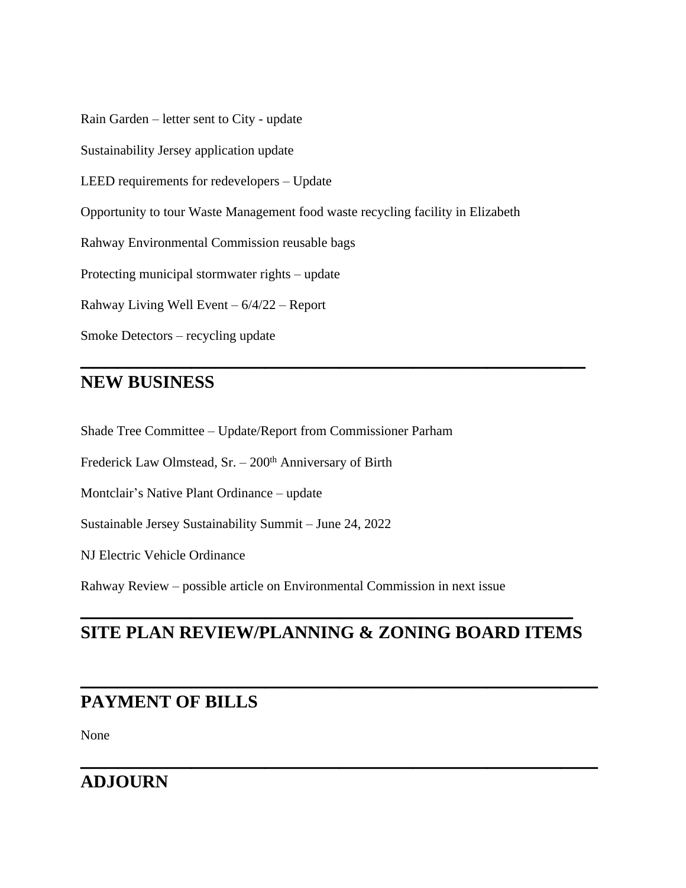Rain Garden – letter sent to City - update

Sustainability Jersey application update

LEED requirements for redevelopers – Update

Opportunity to tour Waste Management food waste recycling facility in Elizabeth

Rahway Environmental Commission reusable bags

Protecting municipal stormwater rights – update

Rahway Living Well Event – 6/4/22 – Report

Smoke Detectors – recycling update

#### **NEW BUSINESS**

Shade Tree Committee – Update/Report from Commissioner Parham

Frederick Law Olmstead, Sr. - 200<sup>th</sup> Anniversary of Birth

Montclair's Native Plant Ordinance – update

Sustainable Jersey Sustainability Summit – June 24, 2022

NJ Electric Vehicle Ordinance

Rahway Review – possible article on Environmental Commission in next issue

#### **SITE PLAN REVIEW/PLANNING & ZONING BOARD ITEMS**

**\_\_\_\_\_\_\_\_\_\_\_\_\_\_\_\_\_\_\_\_\_\_\_\_\_\_\_\_\_\_\_\_\_\_\_\_\_\_\_\_\_\_**

**\_\_\_\_\_\_\_\_\_\_\_\_\_\_\_\_\_\_\_\_\_\_\_\_\_\_\_\_\_\_\_\_\_\_\_\_\_\_\_\_\_\_**

**\_\_\_\_\_\_\_\_\_\_\_\_\_\_\_\_\_\_\_\_\_\_\_\_\_\_\_\_\_\_\_\_\_\_\_\_\_\_\_\_**

**\_\_\_\_\_\_\_\_\_\_\_\_\_\_\_\_\_\_\_\_\_\_\_\_\_\_\_\_\_\_\_\_\_\_\_\_\_\_\_\_\_**

#### **PAYMENT OF BILLS**

None

#### **ADJOURN**